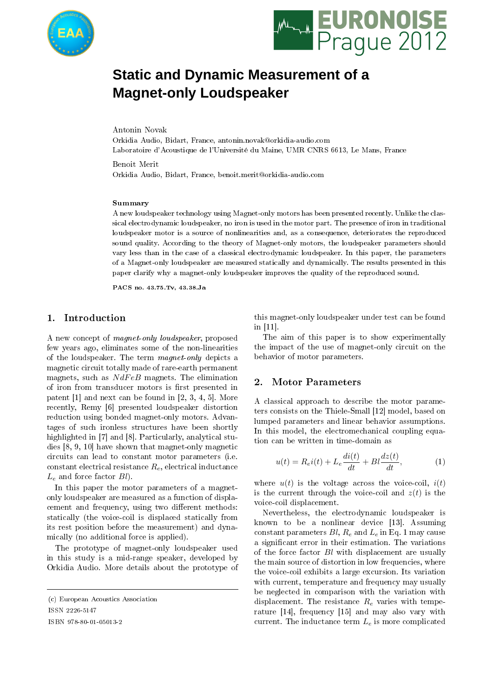



# **Static and Dynamic Measurement of a Magnet-only Loudspeaker**

Antonin Novak

Orkidia Audio, Bidart, France, antonin.novak@orkidia-audio.com Laboratoire d'Acoustique de l'Université du Maine, UMR CNRS 6613, Le Mans, France

Benoit Merit Orkidia Audio, Bidart, France, benoit.merit@orkidia-audio.com

#### Summary

A new loudspeaker technology using Magnet-only motors has been presented recently. Unlike the classical electrodynamic loudspeaker, no iron is used in the motor part. The presence of iron in traditional loudspeaker motor is a source of nonlinearities and, as a consequence, deteriorates the reproduced sound quality. According to the theory of Magnet-only motors, the loudspeaker parameters should vary less than in the case of a classical electrodynamic loudspeaker. In this paper, the parameters of a Magnet-only loudspeaker are measured statically and dynamically. The results presented in this paper clarify why a magnet-only loudspeaker improves the quality of the reproduced sound.

PACS no. 43.75.Tv, 43.38.Ja

## 1. Introduction

A new concept of magnet-only loudspeaker, proposed few years ago, eliminates some of the non-linearities of the loudspeaker. The term magnet-only depicts a magnetic circuit totally made of rare-earth permanent magnets, such as  $NdFeB$  magnets. The elimination of iron from transducer motors is first presented in patent [1] and next can be found in [2, 3, 4, 5]. More recently, Remy [6] presented loudspeaker distortion reduction using bonded magnet-only motors. Advantages of such ironless structures have been shortly highlighted in [7] and [8]. Particularly, analytical studies [8, 9, 10] have shown that magnet-only magnetic circuits can lead to constant motor parameters (i.e. constant electrical resistance  $R_e$ , electrical inductance  $L_e$  and force factor  $Bl$ .

In this paper the motor parameters of a magnetonly loudspeaker are measured as a function of displacement and frequency, using two different methods: statically (the voice-coil is displaced statically from its rest position before the measurement) and dynamically (no additional force is applied).

The prototype of magnet-only loudspeaker used in this study is a mid-range speaker, developed by Orkidia Audio. More details about the prototype of

ISSN 2226-5147

this magnet-only loudspeaker under test can be found in [11].

The aim of this paper is to show experimentally the impact of the use of magnet-only circuit on the behavior of motor parameters.

## 2. Motor Parameters

A classical approach to describe the motor parameters consists on the Thiele-Small [12] model, based on lumped parameters and linear behavior assumptions. In this model, the electromechanical coupling equation can be written in time-domain as

$$
u(t) = R_e i(t) + L_e \frac{di(t)}{dt} + Bl \frac{dz(t)}{dt},
$$
\n(1)

where  $u(t)$  is the voltage across the voice-coil,  $i(t)$ is the current through the voice-coil and  $z(t)$  is the voice-coil displacement.

Nevertheless, the electrodynamic loudspeaker is known to be a nonlinear device [13]. Assuming constant parameters  $Bl, R_e$  and  $L_e$  in Eq. 1 may cause a signicant error in their estimation. The variations of the force factor Bl with displacement are usually the main source of distortion in low frequencies, where the voice-coil exhibits a large excursion. Its variation with current, temperature and frequency may usually be neglected in comparison with the variation with displacement. The resistance  $R_e$  varies with temperature [14], frequency [15] and may also vary with current. The inductance term  $L_e$  is more complicated

<sup>(</sup>c) European Acoustics Association

ISBN 978-80-01-05013-2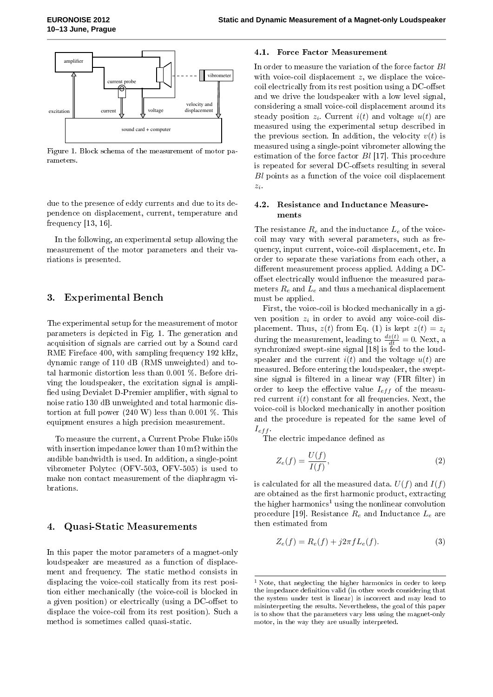

Figure 1. Block schema of the measurement of motor parameters.

due to the presence of eddy currents and due to its dependence on displacement, current, temperature and frequency [13, 16].

In the following, an experimental setup allowing the measurement of the motor parameters and their variations is presented.

## 3. Experimental Bench

The experimental setup for the measurement of motor parameters is depicted in Fig. 1. The generation and acquisition of signals are carried out by a Sound card RME Fireface 400, with sampling frequency 192 kHz, dynamic range of 110 dB (RMS unweighted) and total harmonic distortion less than 0.001 %. Before driving the loudspeaker, the excitation signal is ampli fied using Devialet D-Premier amplifier, with signal to noise ratio 130 dB unweighted and total harmonic distortion at full power  $(240 \text{ W})$  less than 0.001 %. This equipment ensures a high precision measurement.

To measure the current, a Current Probe Fluke i50s with insertion impedance lower than  $10 \text{ m}\Omega$  within the audible bandwidth is used. In addition, a single-point vibrometer Polytec (OFV-503, OFV-505) is used to make non contact measurement of the diaphragm vibrations.

### 4. Quasi-Static Measurements

In this paper the motor parameters of a magnet-only loudspeaker are measured as a function of displacement and frequency. The static method consists in displacing the voice-coil statically from its rest position either mechanically (the voice-coil is blocked in a given position) or electrically (using a DC-offset to displace the voice-coil from its rest position). Such a method is sometimes called quasi-static.

## 4.1. Force Factor Measurement

 $\Box$   $\Box$ In order to measure the variation of the force factor Bl with voice-coil displacement  $z$ , we displace the voiceand we drive the loudspeaker with a low level signal, considering a small voice-coil displacement around its steady position  $z_i$ . Current  $i(t)$  and voltage  $u(t)$  are measured using the experimental setup described in the previous section. In addition, the velocity  $v(t)$  is measured using a single-point vibrometer allowing the estimation of the force factor  $Bl$  [17]. This procedure is repeated for several DC-offsets resulting in several Bl points as a function of the voice coil displacement  $z_i$ .

## 4.2. Resistance and Inductance Measurements

The resistance  $R_e$  and the inductance  $L_e$  of the voicecoil may vary with several parameters, such as frequency, input current, voice-coil displacement, etc. In order to separate these variations from each other, a different measurement process applied. Adding a DCoffset electrically would influence the measured parameters  $R_e$  and  $L_e$  and thus a mechanical displacement must be applied.

First, the voice-coil is blocked mechanically in a given position  $z_i$  in order to avoid any voice-coil displacement. Thus,  $z(t)$  from Eq. (1) is kept  $z(t) = z_i$ during the measurement, leading to  $\frac{dz(t)}{dt} = 0$ . Next, a synchronized swept-sine signal [18] is fed to the loudspeaker and the current  $i(t)$  and the voltage  $u(t)$  are measured. Before entering the loudspeaker, the sweptsine signal is filtered in a linear way (FIR filter) in order to keep the effective value  $I_{eff}$  of the measured current  $i(t)$  constant for all frequencies. Next, the voice-coil is blocked mechanically in another position and the procedure is repeated for the same level of  $I_{eff}$ .

The electric impedance defined as

$$
Z_e(f) = \frac{U(f)}{I(f)},\tag{2}
$$

is calculated for all the measured data.  $U(f)$  and  $I(f)$ are obtained as the first harmonic product, extracting the higher harmonics<sup>1</sup> using the nonlinear convolution procedure [19]. Resistance  $R_e$  and Inductance  $L_e$  are then estimated from

$$
Z_e(f) = R_e(f) + j2\pi f L_e(f).
$$
 (3)

<sup>1</sup> Note, that neglecting the higher harmonics in order to keep the impedance definition valid (in other words considering that the system under test is linear) is incorrect and may lead to misinterpreting the results. Nevertheless, the goal of this paper is to show that the parameters vary less using the magnet-only motor, in the way they are usually interpreted.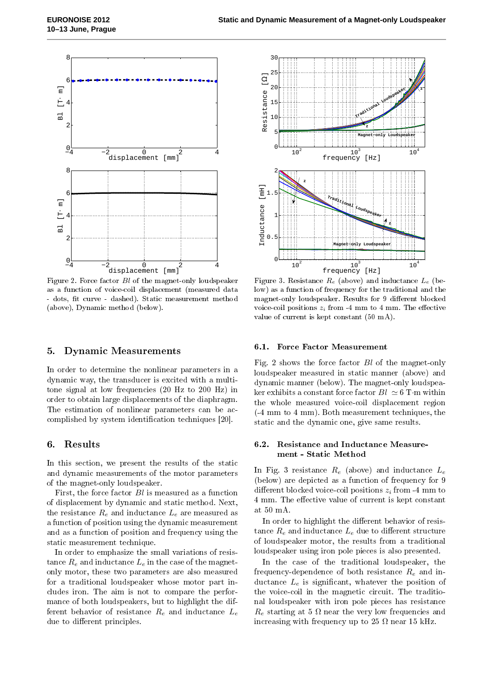

Figure 2. Force factor Bl of the magnet-only loudspeaker as a function of voice-coil displacement (measured data - dots, fit curve - dashed). Static measurement method (above), Dynamic method (below).

## 5. Dynamic Measurements

In order to determine the nonlinear parameters in a dynamic way, the transducer is excited with a multitone signal at low frequencies (20 Hz to 200 Hz) in order to obtain large displacements of the diaphragm. The estimation of nonlinear parameters can be accomplished by system identification techniques [20].

## 6. Results

In this section, we present the results of the static and dynamic measurements of the motor parameters of the magnet-only loudspeaker.

First, the force factor  $Bl$  is measured as a function of displacement by dynamic and static method. Next, the resistance  $R_e$  and inductance  $L_e$  are measured as a function of position using the dynamic measurement and as a function of position and frequency using the static measurement technique.

In order to emphasize the small variations of resistance  $R_e$  and inductance  $L_e$  in the case of the magnetonly motor, these two parameters are also measured for a traditional loudspeaker whose motor part includes iron. The aim is not to compare the performance of both loudspeakers, but to highlight the different behavior of resistance  $R_e$  and inductance  $L_e$ due to different principles.



Figure 3. Resistance  $R_e$  (above) and inductance  $L_e$  (below) as a function of frequency for the traditional and the magnet-only loudspeaker. Results for 9 different blocked voice-coil positions  $z_i$  from -4 mm to 4 mm. The effective value of current is kept constant (50 mA).

#### 6.1. Force Factor Measurement

Fig. 2 shows the force factor Bl of the magnet-only loudspeaker measured in static manner (above) and dynamic manner (below). The magnet-only loudspeaker exhibits a constant force factor  $Bl \simeq 6$  T·m within the whole measured voice-coil displacement region (-4 mm to 4 mm). Both measurement techniques, the static and the dynamic one, give same results.

## 6.2. Resistance and Inductance Measurement - Static Method

In Fig. 3 resistance  $R_e$  (above) and inductance  $L_e$ (below) are depicted as a function of frequency for 9 different blocked voice-coil positions  $z_i$  from -4 mm to 4 mm. The effective value of current is kept constant at 50 mA.

In order to highlight the different behavior of resistance  $R_e$  and inductance  $L_e$  due to different structure of loudspeaker motor, the results from a traditional loudspeaker using iron pole pieces is also presented.

In the case of the traditional loudspeaker, the frequency-dependence of both resistance  $R_e$  and inductance  $L_e$  is significant, whatever the position of the voice-coil in the magnetic circuit. The traditional loudspeaker with iron pole pieces has resistance  $R_e$  starting at 5  $\Omega$  near the very low frequencies and increasing with frequency up to 25  $\Omega$  near 15 kHz.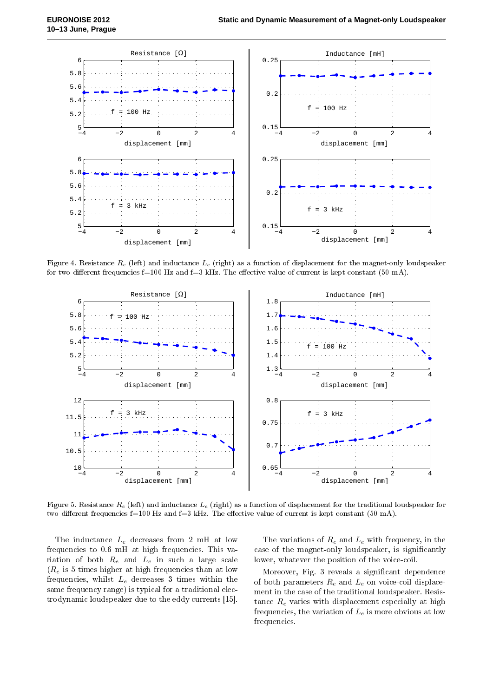

Figure 4. Resistance  $R_e$  (left) and inductance  $L_e$  (right) as a function of displacement for the magnet-only loudspeaker for two different frequencies f=100 Hz and f=3 kHz. The effective value of current is kept constant (50 mA).



Figure 5. Resistance  $R_e$  (left) and inductance  $L_e$  (right) as a function of displacement for the traditional loudspeaker for two different frequencies f=100 Hz and f=3 kHz. The effective value of current is kept constant (50 mA).

The inductance  $L_e$  decreases from 2 mH at low frequencies to 0.6 mH at high frequencies. This variation of both  $R_e$  and  $L_e$  in such a large scale  $(R_e$  is 5 times higher at high frequencies than at low frequencies, whilst  $L_e$  decreases 3 times within the same frequency range) is typical for a traditional electrodynamic loudspeaker due to the eddy currents [15].

The variations of  $R_e$  and  $L_e$  with frequency, in the case of the magnet-only loudspeaker, is signicantly lower, whatever the position of the voice-coil.

Moreover, Fig. 3 reveals a signicant dependence of both parameters  $R_e$  and  $L_e$  on voice-coil displacement in the case of the traditional loudspeaker. Resistance  $R_e$  varies with displacement especially at high frequencies, the variation of  $L_e$  is more obvious at low frequencies.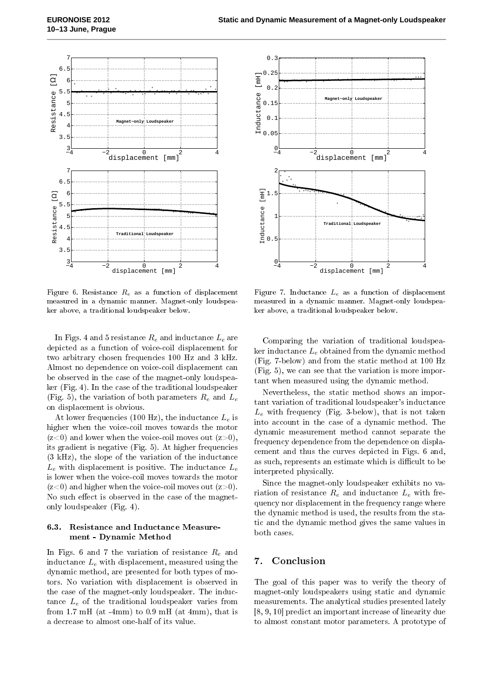

Figure 6. Resistance  $R_e$  as a function of displacement measured in a dynamic manner. Magnet-only loudspeaker above, a traditional loudspeaker below.

In Figs. 4 and 5 resistance  $R_e$  and inductance  $L_e$  are depicted as a function of voice-coil displacement for two arbitrary chosen frequencies 100 Hz and 3 kHz. Almost no dependence on voice-coil displacement can be observed in the case of the magnet-only loudspeaker (Fig. 4). In the case of the traditional loudspeaker (Fig. 5), the variation of both parameters  $R_e$  and  $L_e$ on displacement is obvious.

At lower frequencies (100 Hz), the inductance  $L_e$  is higher when the voice-coil moves towards the motor  $(z<0)$  and lower when the voice-coil moves out  $(z>0)$ , its gradient is negative (Fig. 5). At higher frequencies (3 kHz), the slope of the variation of the inductance  $L_e$  with displacement is positive. The inductance  $L_e$ is lower when the voice-coil moves towards the motor  $(z<0)$  and higher when the voice-coil moves out  $(z>0)$ . No such effect is observed in the case of the magnetonly loudspeaker (Fig. 4).

## 6.3. Resistance and Inductance Measurement - Dynamic Method

In Figs. 6 and 7 the variation of resistance  $R_e$  and inductance  $L_e$  with displacement, measured using the dynamic method, are presented for both types of motors. No variation with displacement is observed in the case of the magnet-only loudspeaker. The inductance  $L_e$  of the traditional loudspeaker varies from from  $1.7 \text{ mH}$  (at -4mm) to  $0.9 \text{ mH}$  (at 4mm), that is a decrease to almost one-half of its value.



Figure 7. Inductance  $L_e$  as a function of displacement measured in a dynamic manner. Magnet-only loudspeaker above, a traditional loudspeaker below.

Comparing the variation of traditional loudspeaker inductance  $L_e$  obtained from the dynamic method (Fig. 7-below) and from the static method at 100 Hz (Fig. 5), we can see that the variation is more important when measured using the dynamic method.

Nevertheless, the static method shows an important variation of traditional loudspeaker's inductance  $L_e$  with frequency (Fig. 3-below), that is not taken into account in the case of a dynamic method. The dynamic measurement method cannot separate the frequency dependence from the dependence on displacement and thus the curves depicted in Figs. 6 and, as such, represents an estimate which is difficult to be interpreted physically.

Since the magnet-only loudspeaker exhibits no variation of resistance  $R_e$  and inductance  $L_e$  with frequency nor displacement in the frequency range where the dynamic method is used, the results from the static and the dynamic method gives the same values in both cases.

# 7. Conclusion

The goal of this paper was to verify the theory of magnet-only loudspeakers using static and dynamic measurements. The analytical studies presented lately [8, 9, 10] predict an important increase of linearity due to almost constant motor parameters. A prototype of